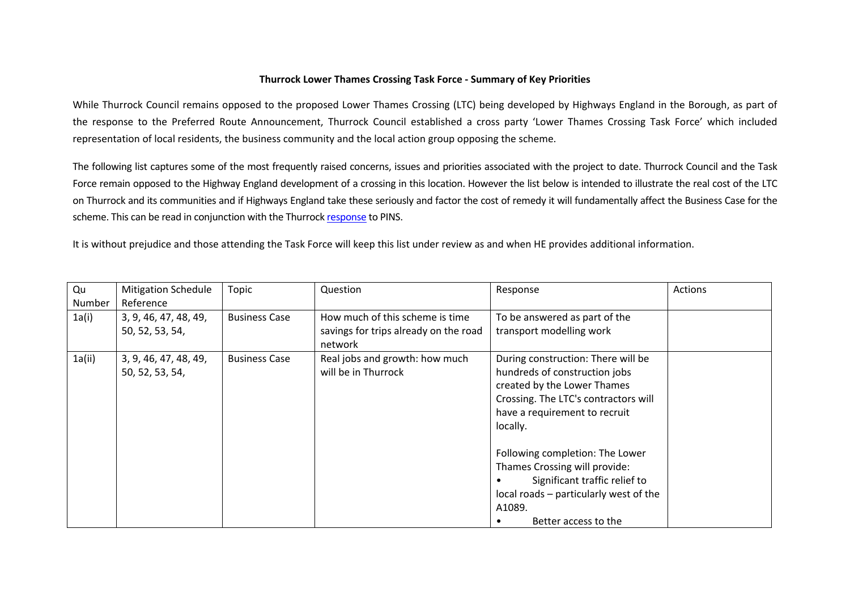## **Thurrock Lower Thames Crossing Task Force - Summary of Key Priorities**

While Thurrock Council remains opposed to the proposed Lower Thames Crossing (LTC) being developed by Highways England in the Borough, as part of the response to the Preferred Route Announcement, Thurrock Council established a cross party 'Lower Thames Crossing Task Force' which included representation of local residents, the business community and the local action group opposing the scheme.

The following list captures some of the most frequently raised concerns, issues and priorities associated with the project to date. Thurrock Council and the Task Force remain opposed to the Highway England development of a crossing in this location. However the list below is intended to illustrate the real cost of the LTC on Thurrock and its communities and if Highways England take these seriously and factor the cost of remedy it will fundamentally affect the Business Case for the scheme. This can be read in conjunction with the Thurrock [response](https://www.thurrock.gov.uk/sites/default/files/assets/documents/ltc-eia-scoping-response-_20171130.pdf) to PINS.

It is without prejudice and those attending the Task Force will keep this list under review as and when HE provides additional information.

| Qu     | <b>Mitigation Schedule</b> | Topic                | Question                              | Response                               | Actions |
|--------|----------------------------|----------------------|---------------------------------------|----------------------------------------|---------|
| Number | Reference                  |                      |                                       |                                        |         |
| 1a(i)  | 3, 9, 46, 47, 48, 49,      | <b>Business Case</b> | How much of this scheme is time       | To be answered as part of the          |         |
|        | 50, 52, 53, 54,            |                      | savings for trips already on the road | transport modelling work               |         |
|        |                            |                      | network                               |                                        |         |
| 1a(ii) | 3, 9, 46, 47, 48, 49,      | <b>Business Case</b> | Real jobs and growth: how much        | During construction: There will be     |         |
|        | 50, 52, 53, 54,            |                      | will be in Thurrock                   | hundreds of construction jobs          |         |
|        |                            |                      |                                       | created by the Lower Thames            |         |
|        |                            |                      |                                       | Crossing. The LTC's contractors will   |         |
|        |                            |                      |                                       | have a requirement to recruit          |         |
|        |                            |                      |                                       | locally.                               |         |
|        |                            |                      |                                       | Following completion: The Lower        |         |
|        |                            |                      |                                       | Thames Crossing will provide:          |         |
|        |                            |                      |                                       | Significant traffic relief to          |         |
|        |                            |                      |                                       | local roads - particularly west of the |         |
|        |                            |                      |                                       | A1089.                                 |         |
|        |                            |                      |                                       | Better access to the                   |         |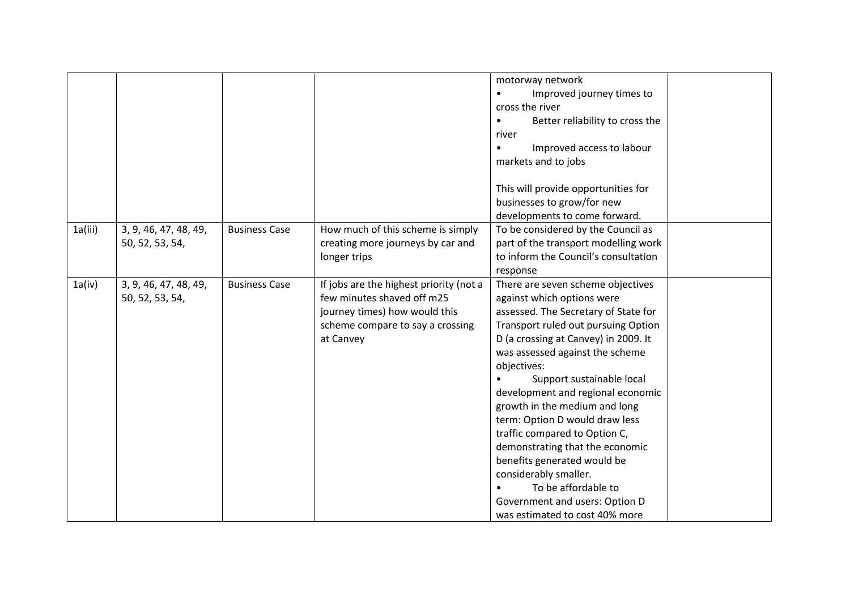|         |                                          |                      |                                                                                                                                                         | motorway network<br>Improved journey times to<br>$\bullet$<br>cross the river<br>Better reliability to cross the<br>$\bullet$<br>river<br>Improved access to labour<br>$\bullet$<br>markets and to jobs<br>This will provide opportunities for<br>businesses to grow/for new<br>developments to come forward.                                                                                                                                                                                                                                                                                        |  |
|---------|------------------------------------------|----------------------|---------------------------------------------------------------------------------------------------------------------------------------------------------|------------------------------------------------------------------------------------------------------------------------------------------------------------------------------------------------------------------------------------------------------------------------------------------------------------------------------------------------------------------------------------------------------------------------------------------------------------------------------------------------------------------------------------------------------------------------------------------------------|--|
| 1a(iii) | 3, 9, 46, 47, 48, 49,<br>50, 52, 53, 54, | <b>Business Case</b> | How much of this scheme is simply<br>creating more journeys by car and<br>longer trips                                                                  | To be considered by the Council as<br>part of the transport modelling work<br>to inform the Council's consultation<br>response                                                                                                                                                                                                                                                                                                                                                                                                                                                                       |  |
| 1a(iv)  | 3, 9, 46, 47, 48, 49,<br>50, 52, 53, 54, | <b>Business Case</b> | If jobs are the highest priority (not a<br>few minutes shaved off m25<br>journey times) how would this<br>scheme compare to say a crossing<br>at Canvey | There are seven scheme objectives<br>against which options were<br>assessed. The Secretary of State for<br>Transport ruled out pursuing Option<br>D (a crossing at Canvey) in 2009. It<br>was assessed against the scheme<br>objectives:<br>Support sustainable local<br>development and regional economic<br>growth in the medium and long<br>term: Option D would draw less<br>traffic compared to Option C,<br>demonstrating that the economic<br>benefits generated would be<br>considerably smaller.<br>To be affordable to<br>Government and users: Option D<br>was estimated to cost 40% more |  |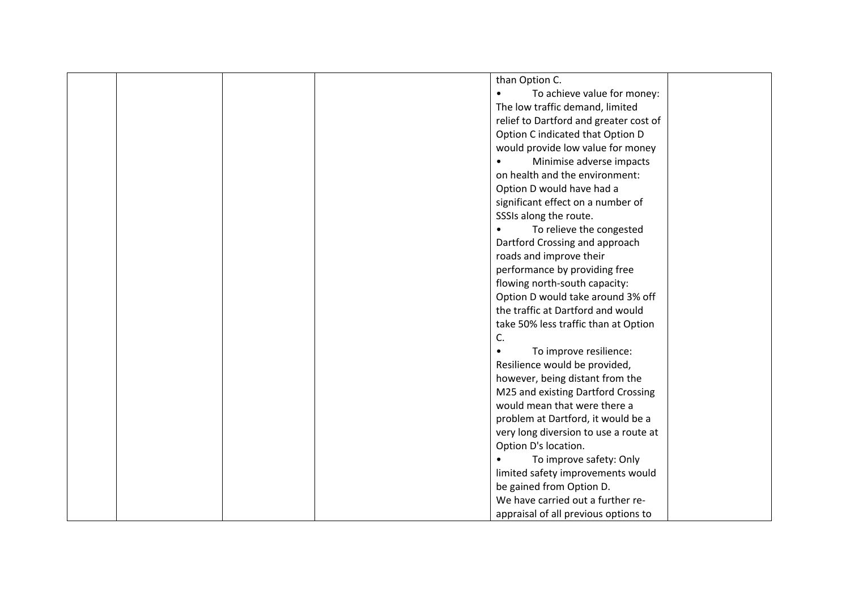| than Option C.                         |
|----------------------------------------|
| To achieve value for money:            |
| The low traffic demand, limited        |
| relief to Dartford and greater cost of |
| Option C indicated that Option D       |
| would provide low value for money      |
| Minimise adverse impacts               |
| on health and the environment:         |
| Option D would have had a              |
| significant effect on a number of      |
| SSSIs along the route.                 |
| To relieve the congested               |
| Dartford Crossing and approach         |
| roads and improve their                |
| performance by providing free          |
| flowing north-south capacity:          |
|                                        |
| Option D would take around 3% off      |
| the traffic at Dartford and would      |
| take 50% less traffic than at Option   |
| C.                                     |
| To improve resilience:                 |
| Resilience would be provided,          |
| however, being distant from the        |
| M25 and existing Dartford Crossing     |
| would mean that were there a           |
| problem at Dartford, it would be a     |
| very long diversion to use a route at  |
| Option D's location.                   |
| To improve safety: Only                |
| limited safety improvements would      |
| be gained from Option D.               |
| We have carried out a further re-      |
| appraisal of all previous options to   |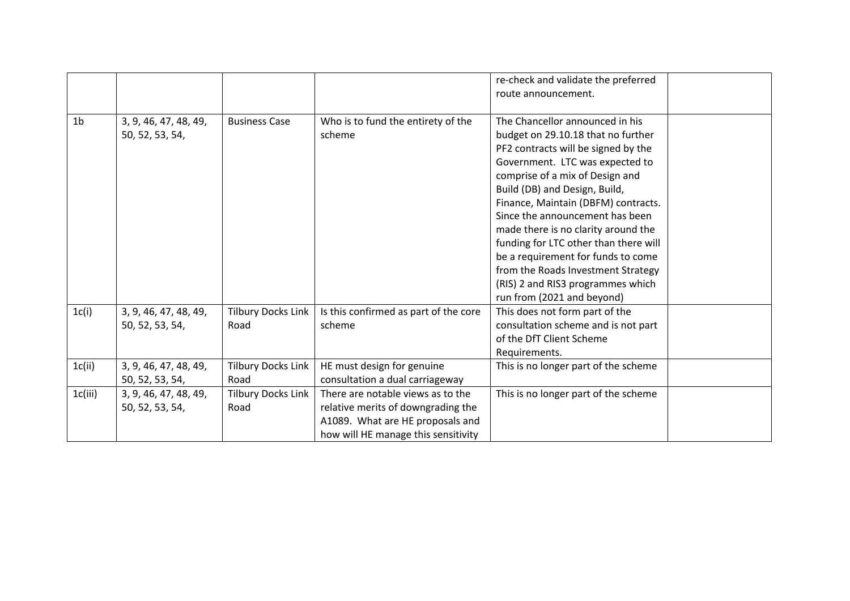|                |                                          |                                   |                                                                                                                                                    | re-check and validate the preferred<br>route announcement.                                                                                                                                                                                                                                                                                                                                                                                                                                                                   |
|----------------|------------------------------------------|-----------------------------------|----------------------------------------------------------------------------------------------------------------------------------------------------|------------------------------------------------------------------------------------------------------------------------------------------------------------------------------------------------------------------------------------------------------------------------------------------------------------------------------------------------------------------------------------------------------------------------------------------------------------------------------------------------------------------------------|
| 1 <sub>b</sub> | 3, 9, 46, 47, 48, 49,<br>50, 52, 53, 54, | <b>Business Case</b>              | Who is to fund the entirety of the<br>scheme                                                                                                       | The Chancellor announced in his<br>budget on 29.10.18 that no further<br>PF2 contracts will be signed by the<br>Government. LTC was expected to<br>comprise of a mix of Design and<br>Build (DB) and Design, Build,<br>Finance, Maintain (DBFM) contracts.<br>Since the announcement has been<br>made there is no clarity around the<br>funding for LTC other than there will<br>be a requirement for funds to come<br>from the Roads Investment Strategy<br>(RIS) 2 and RIS3 programmes which<br>run from (2021 and beyond) |
| 1c(i)          | 3, 9, 46, 47, 48, 49,<br>50, 52, 53, 54, | <b>Tilbury Docks Link</b><br>Road | Is this confirmed as part of the core<br>scheme                                                                                                    | This does not form part of the<br>consultation scheme and is not part<br>of the DfT Client Scheme<br>Requirements.                                                                                                                                                                                                                                                                                                                                                                                                           |
| 1c(i)          | 3, 9, 46, 47, 48, 49,<br>50, 52, 53, 54, | <b>Tilbury Docks Link</b><br>Road | HE must design for genuine<br>consultation a dual carriageway                                                                                      | This is no longer part of the scheme                                                                                                                                                                                                                                                                                                                                                                                                                                                                                         |
| 1c(iii)        | 3, 9, 46, 47, 48, 49,<br>50, 52, 53, 54, | <b>Tilbury Docks Link</b><br>Road | There are notable views as to the<br>relative merits of downgrading the<br>A1089. What are HE proposals and<br>how will HE manage this sensitivity | This is no longer part of the scheme                                                                                                                                                                                                                                                                                                                                                                                                                                                                                         |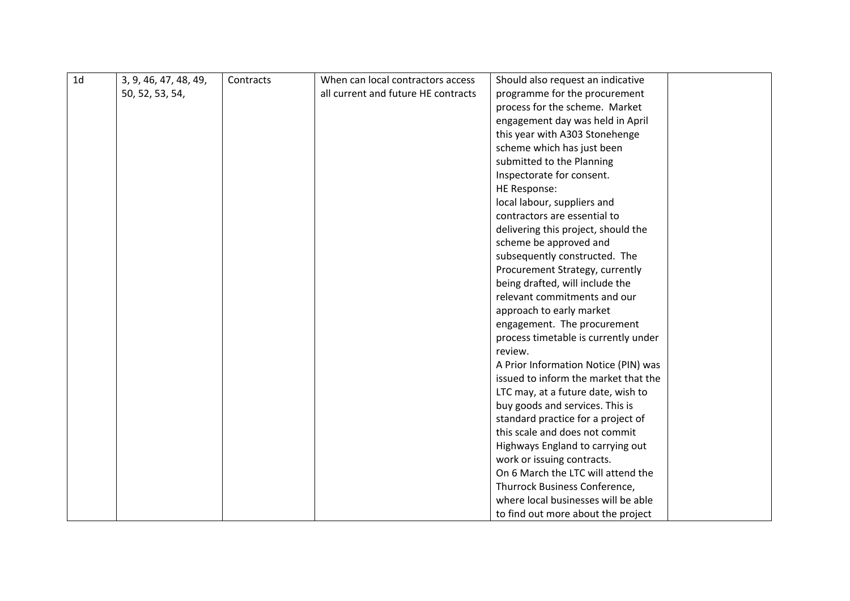| 1 <sub>d</sub> | 3, 9, 46, 47, 48, 49, | Contracts | When can local contractors access   | Should also request an indicative    |  |
|----------------|-----------------------|-----------|-------------------------------------|--------------------------------------|--|
|                | 50, 52, 53, 54,       |           | all current and future HE contracts | programme for the procurement        |  |
|                |                       |           |                                     | process for the scheme. Market       |  |
|                |                       |           |                                     | engagement day was held in April     |  |
|                |                       |           |                                     | this year with A303 Stonehenge       |  |
|                |                       |           |                                     | scheme which has just been           |  |
|                |                       |           |                                     | submitted to the Planning            |  |
|                |                       |           |                                     | Inspectorate for consent.            |  |
|                |                       |           |                                     | HE Response:                         |  |
|                |                       |           |                                     | local labour, suppliers and          |  |
|                |                       |           |                                     | contractors are essential to         |  |
|                |                       |           |                                     | delivering this project, should the  |  |
|                |                       |           |                                     | scheme be approved and               |  |
|                |                       |           |                                     | subsequently constructed. The        |  |
|                |                       |           |                                     | Procurement Strategy, currently      |  |
|                |                       |           |                                     | being drafted, will include the      |  |
|                |                       |           |                                     | relevant commitments and our         |  |
|                |                       |           |                                     | approach to early market             |  |
|                |                       |           |                                     | engagement. The procurement          |  |
|                |                       |           |                                     | process timetable is currently under |  |
|                |                       |           |                                     | review.                              |  |
|                |                       |           |                                     | A Prior Information Notice (PIN) was |  |
|                |                       |           |                                     | issued to inform the market that the |  |
|                |                       |           |                                     | LTC may, at a future date, wish to   |  |
|                |                       |           |                                     | buy goods and services. This is      |  |
|                |                       |           |                                     | standard practice for a project of   |  |
|                |                       |           |                                     | this scale and does not commit       |  |
|                |                       |           |                                     | Highways England to carrying out     |  |
|                |                       |           |                                     | work or issuing contracts.           |  |
|                |                       |           |                                     | On 6 March the LTC will attend the   |  |
|                |                       |           |                                     | Thurrock Business Conference,        |  |
|                |                       |           |                                     | where local businesses will be able  |  |
|                |                       |           |                                     | to find out more about the project   |  |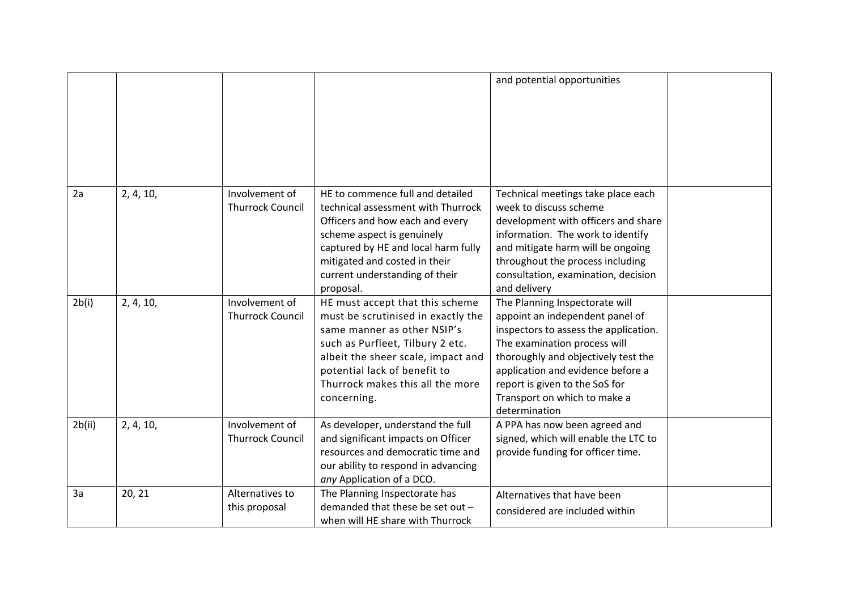|        |           |                         |                                                                        | and potential opportunities                                              |  |
|--------|-----------|-------------------------|------------------------------------------------------------------------|--------------------------------------------------------------------------|--|
|        |           |                         |                                                                        |                                                                          |  |
|        |           |                         |                                                                        |                                                                          |  |
|        |           |                         |                                                                        |                                                                          |  |
|        |           |                         |                                                                        |                                                                          |  |
|        |           |                         |                                                                        |                                                                          |  |
| 2a     | 2, 4, 10, | Involvement of          | HE to commence full and detailed<br>technical assessment with Thurrock | Technical meetings take place each<br>week to discuss scheme             |  |
|        |           | <b>Thurrock Council</b> | Officers and how each and every                                        | development with officers and share                                      |  |
|        |           |                         | scheme aspect is genuinely                                             | information. The work to identify                                        |  |
|        |           |                         | captured by HE and local harm fully                                    | and mitigate harm will be ongoing                                        |  |
|        |           |                         | mitigated and costed in their                                          | throughout the process including                                         |  |
|        |           |                         | current understanding of their                                         | consultation, examination, decision                                      |  |
|        |           |                         | proposal.                                                              | and delivery                                                             |  |
| 2b(i)  | 2, 4, 10, | Involvement of          | HE must accept that this scheme                                        | The Planning Inspectorate will                                           |  |
|        |           | <b>Thurrock Council</b> | must be scrutinised in exactly the                                     | appoint an independent panel of                                          |  |
|        |           |                         | same manner as other NSIP's                                            | inspectors to assess the application.                                    |  |
|        |           |                         | such as Purfleet, Tilbury 2 etc.                                       | The examination process will                                             |  |
|        |           |                         | albeit the sheer scale, impact and<br>potential lack of benefit to     | thoroughly and objectively test the<br>application and evidence before a |  |
|        |           |                         | Thurrock makes this all the more                                       | report is given to the SoS for                                           |  |
|        |           |                         | concerning.                                                            | Transport on which to make a                                             |  |
|        |           |                         |                                                                        | determination                                                            |  |
| 2b(ii) | 2, 4, 10, | Involvement of          | As developer, understand the full                                      | A PPA has now been agreed and                                            |  |
|        |           | <b>Thurrock Council</b> | and significant impacts on Officer                                     | signed, which will enable the LTC to                                     |  |
|        |           |                         | resources and democratic time and                                      | provide funding for officer time.                                        |  |
|        |           |                         | our ability to respond in advancing                                    |                                                                          |  |
|        |           |                         | any Application of a DCO.                                              |                                                                          |  |
| 3a     | 20, 21    | Alternatives to         | The Planning Inspectorate has<br>demanded that these be set out -      | Alternatives that have been                                              |  |
|        |           | this proposal           |                                                                        | considered are included within                                           |  |
|        |           |                         | when will HE share with Thurrock                                       |                                                                          |  |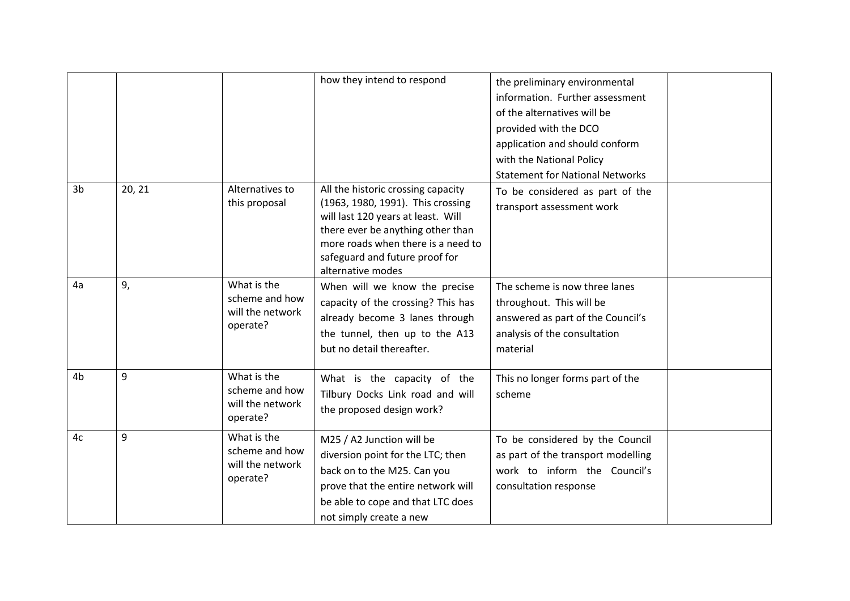|                |        |                                                               | how they intend to respond                                                                                                                                                                                                                      | the preliminary environmental<br>information. Further assessment<br>of the alternatives will be<br>provided with the DCO<br>application and should conform<br>with the National Policy<br><b>Statement for National Networks</b> |  |
|----------------|--------|---------------------------------------------------------------|-------------------------------------------------------------------------------------------------------------------------------------------------------------------------------------------------------------------------------------------------|----------------------------------------------------------------------------------------------------------------------------------------------------------------------------------------------------------------------------------|--|
| 3 <sub>b</sub> | 20, 21 | Alternatives to<br>this proposal                              | All the historic crossing capacity<br>(1963, 1980, 1991). This crossing<br>will last 120 years at least. Will<br>there ever be anything other than<br>more roads when there is a need to<br>safeguard and future proof for<br>alternative modes | To be considered as part of the<br>transport assessment work                                                                                                                                                                     |  |
| 4a             | 9,     | What is the<br>scheme and how<br>will the network<br>operate? | When will we know the precise<br>capacity of the crossing? This has<br>already become 3 lanes through<br>the tunnel, then up to the A13<br>but no detail thereafter.                                                                            | The scheme is now three lanes<br>throughout. This will be<br>answered as part of the Council's<br>analysis of the consultation<br>material                                                                                       |  |
| 4 <sub>b</sub> | 9      | What is the<br>scheme and how<br>will the network<br>operate? | What is the capacity of the<br>Tilbury Docks Link road and will<br>the proposed design work?                                                                                                                                                    | This no longer forms part of the<br>scheme                                                                                                                                                                                       |  |
| 4c             | 9      | What is the<br>scheme and how<br>will the network<br>operate? | M25 / A2 Junction will be<br>diversion point for the LTC; then<br>back on to the M25. Can you<br>prove that the entire network will<br>be able to cope and that LTC does<br>not simply create a new                                             | To be considered by the Council<br>as part of the transport modelling<br>work to inform the Council's<br>consultation response                                                                                                   |  |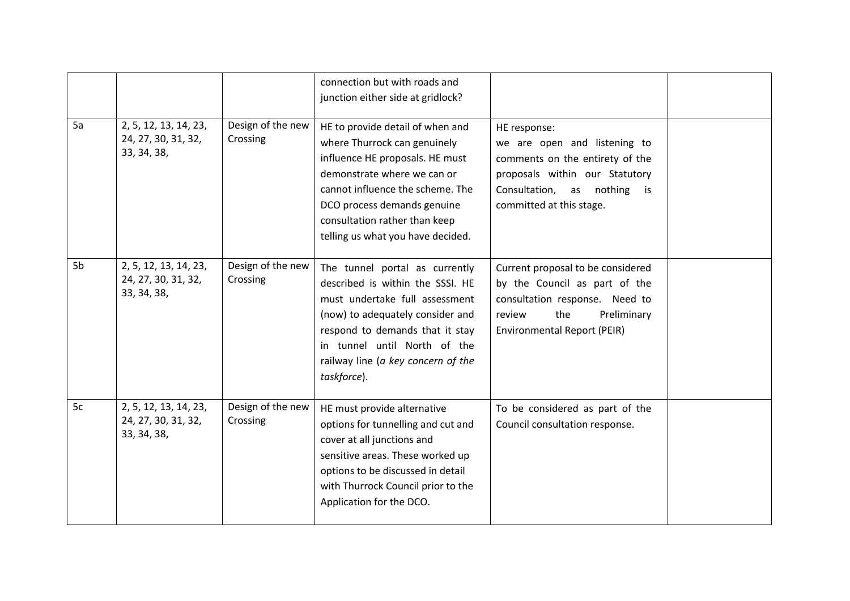|    |                                                             |                               | connection but with roads and<br>junction either side at gridlock?                                                                                                                                                                                                          |                                                                                                                                                                                    |  |
|----|-------------------------------------------------------------|-------------------------------|-----------------------------------------------------------------------------------------------------------------------------------------------------------------------------------------------------------------------------------------------------------------------------|------------------------------------------------------------------------------------------------------------------------------------------------------------------------------------|--|
| 5a | 2, 5, 12, 13, 14, 23,<br>24, 27, 30, 31, 32,<br>33, 34, 38, | Design of the new<br>Crossing | HE to provide detail of when and<br>where Thurrock can genuinely<br>influence HE proposals. HE must<br>demonstrate where we can or<br>cannot influence the scheme. The<br>DCO process demands genuine<br>consultation rather than keep<br>telling us what you have decided. | HE response:<br>we are open and listening to<br>comments on the entirety of the<br>proposals within our Statutory<br>Consultation, as nothing<br>is is<br>committed at this stage. |  |
| 5b | 2, 5, 12, 13, 14, 23,<br>24, 27, 30, 31, 32,<br>33, 34, 38, | Design of the new<br>Crossing | The tunnel portal as currently<br>described is within the SSSI. HE<br>must undertake full assessment<br>(now) to adequately consider and<br>respond to demands that it stay<br>in tunnel until North of the<br>railway line (a key concern of the<br>taskforce).            | Current proposal to be considered<br>by the Council as part of the<br>consultation response. Need to<br>the<br>Preliminary<br>review<br><b>Environmental Report (PEIR)</b>         |  |
| 5c | 2, 5, 12, 13, 14, 23,<br>24, 27, 30, 31, 32,<br>33, 34, 38, | Design of the new<br>Crossing | HE must provide alternative<br>options for tunnelling and cut and<br>cover at all junctions and<br>sensitive areas. These worked up<br>options to be discussed in detail<br>with Thurrock Council prior to the<br>Application for the DCO.                                  | To be considered as part of the<br>Council consultation response.                                                                                                                  |  |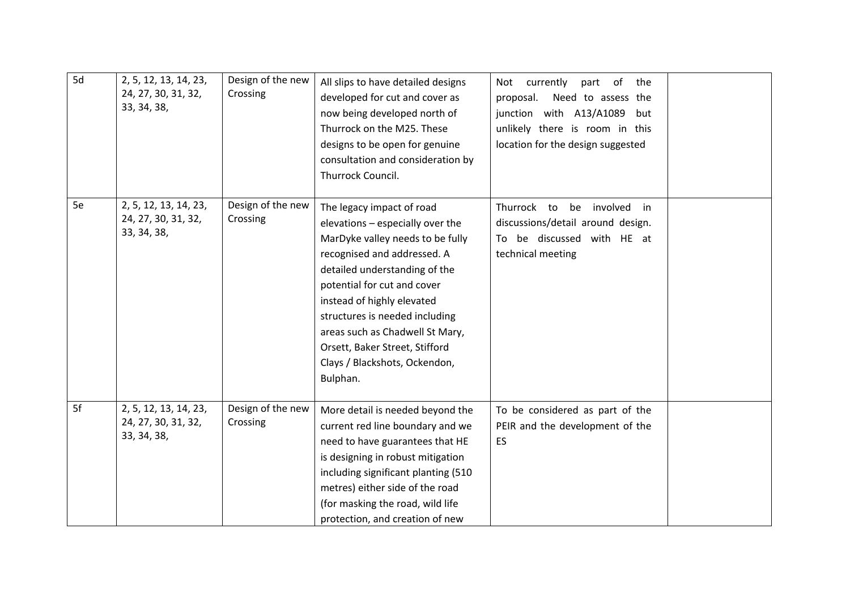| 5d | 2, 5, 12, 13, 14, 23,<br>24, 27, 30, 31, 32,<br>33, 34, 38, | Design of the new<br>Crossing | All slips to have detailed designs<br>developed for cut and cover as<br>now being developed north of<br>Thurrock on the M25. These<br>designs to be open for genuine<br>consultation and consideration by<br>Thurrock Council.                                                                                                                                                     | Not currently<br>part of<br>the<br>proposal.<br>Need to assess the<br>junction with A13/A1089<br>but<br>unlikely there is room in this<br>location for the design suggested |  |
|----|-------------------------------------------------------------|-------------------------------|------------------------------------------------------------------------------------------------------------------------------------------------------------------------------------------------------------------------------------------------------------------------------------------------------------------------------------------------------------------------------------|-----------------------------------------------------------------------------------------------------------------------------------------------------------------------------|--|
| 5e | 2, 5, 12, 13, 14, 23,<br>24, 27, 30, 31, 32,<br>33, 34, 38, | Design of the new<br>Crossing | The legacy impact of road<br>elevations - especially over the<br>MarDyke valley needs to be fully<br>recognised and addressed. A<br>detailed understanding of the<br>potential for cut and cover<br>instead of highly elevated<br>structures is needed including<br>areas such as Chadwell St Mary,<br>Orsett, Baker Street, Stifford<br>Clays / Blackshots, Ockendon,<br>Bulphan. | Thurrock to<br>involved<br>be<br>in<br>discussions/detail around design.<br>To be discussed with HE at<br>technical meeting                                                 |  |
| 5f | 2, 5, 12, 13, 14, 23,<br>24, 27, 30, 31, 32,<br>33, 34, 38, | Design of the new<br>Crossing | More detail is needed beyond the<br>current red line boundary and we<br>need to have guarantees that HE<br>is designing in robust mitigation<br>including significant planting (510<br>metres) either side of the road<br>(for masking the road, wild life<br>protection, and creation of new                                                                                      | To be considered as part of the<br>PEIR and the development of the<br>ES                                                                                                    |  |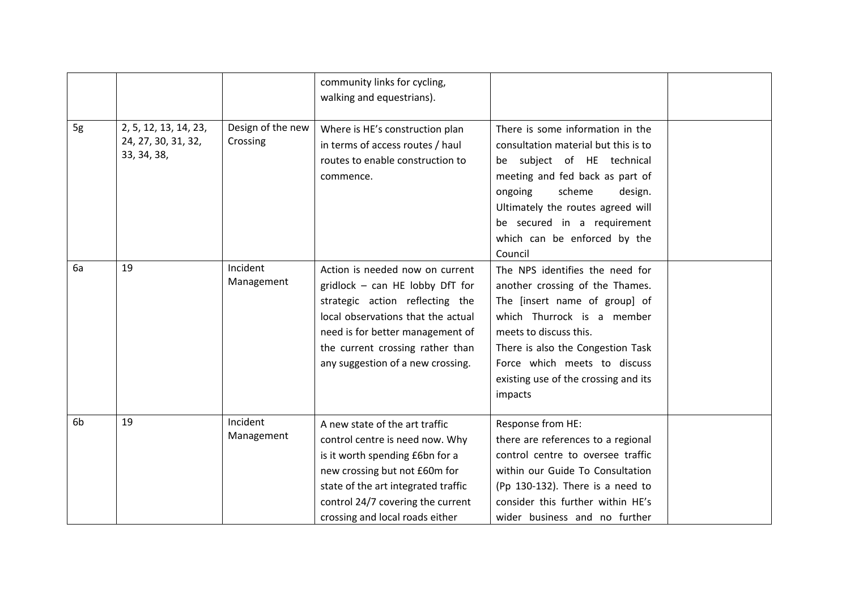|                |                                                             |                               | community links for cycling,<br>walking and equestrians).                                                                                                                                                                                                |                                                                                                                                                                                                                                                                                          |  |
|----------------|-------------------------------------------------------------|-------------------------------|----------------------------------------------------------------------------------------------------------------------------------------------------------------------------------------------------------------------------------------------------------|------------------------------------------------------------------------------------------------------------------------------------------------------------------------------------------------------------------------------------------------------------------------------------------|--|
| 5g             | 2, 5, 12, 13, 14, 23,<br>24, 27, 30, 31, 32,<br>33, 34, 38, | Design of the new<br>Crossing | Where is HE's construction plan<br>in terms of access routes / haul<br>routes to enable construction to<br>commence.                                                                                                                                     | There is some information in the<br>consultation material but this is to<br>be subject of HE technical<br>meeting and fed back as part of<br>scheme<br>ongoing<br>design.<br>Ultimately the routes agreed will<br>be secured in a requirement<br>which can be enforced by the<br>Council |  |
| 6a             | 19                                                          | Incident<br>Management        | Action is needed now on current<br>gridlock - can HE lobby DfT for<br>strategic action reflecting the<br>local observations that the actual<br>need is for better management of<br>the current crossing rather than<br>any suggestion of a new crossing. | The NPS identifies the need for<br>another crossing of the Thames.<br>The [insert name of group] of<br>which Thurrock is a member<br>meets to discuss this.<br>There is also the Congestion Task<br>Force which meets to discuss<br>existing use of the crossing and its<br>impacts      |  |
| 6 <sub>b</sub> | 19                                                          | Incident<br>Management        | A new state of the art traffic<br>control centre is need now. Why<br>is it worth spending £6bn for a<br>new crossing but not £60m for<br>state of the art integrated traffic<br>control 24/7 covering the current<br>crossing and local roads either     | Response from HE:<br>there are references to a regional<br>control centre to oversee traffic<br>within our Guide To Consultation<br>(Pp 130-132). There is a need to<br>consider this further within HE's<br>wider business and no further                                               |  |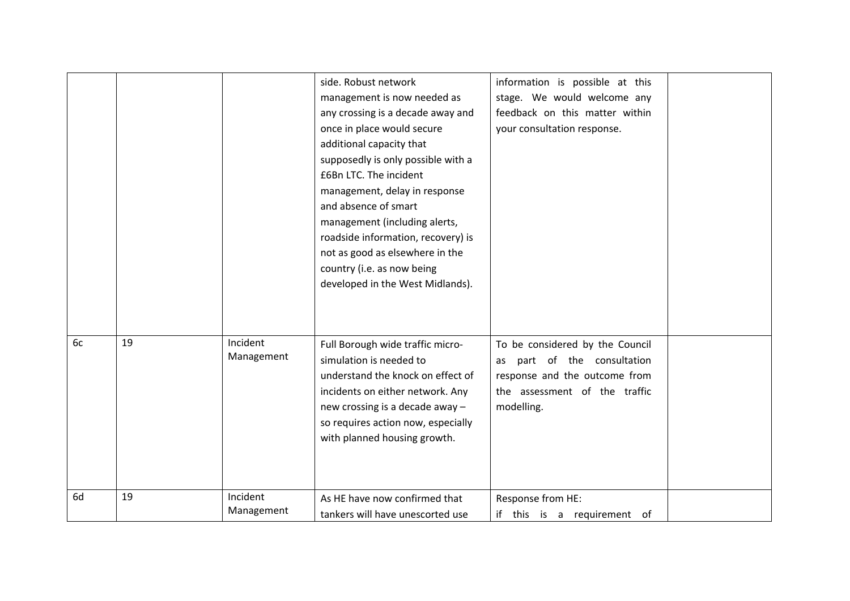|    |    |                        | side. Robust network<br>management is now needed as<br>any crossing is a decade away and<br>once in place would secure<br>additional capacity that<br>supposedly is only possible with a<br>£6Bn LTC. The incident<br>management, delay in response<br>and absence of smart<br>management (including alerts,<br>roadside information, recovery) is<br>not as good as elsewhere in the<br>country (i.e. as now being<br>developed in the West Midlands). | information is possible at this<br>stage. We would welcome any<br>feedback on this matter within<br>your consultation response.                   |  |
|----|----|------------------------|---------------------------------------------------------------------------------------------------------------------------------------------------------------------------------------------------------------------------------------------------------------------------------------------------------------------------------------------------------------------------------------------------------------------------------------------------------|---------------------------------------------------------------------------------------------------------------------------------------------------|--|
| 6c | 19 | Incident<br>Management | Full Borough wide traffic micro-<br>simulation is needed to<br>understand the knock on effect of<br>incidents on either network. Any<br>new crossing is a decade away -<br>so requires action now, especially<br>with planned housing growth.                                                                                                                                                                                                           | To be considered by the Council<br>part of the consultation<br>as<br>response and the outcome from<br>the assessment of the traffic<br>modelling. |  |
| 6d | 19 | Incident<br>Management | As HE have now confirmed that<br>tankers will have unescorted use                                                                                                                                                                                                                                                                                                                                                                                       | Response from HE:<br>if this is a requirement of                                                                                                  |  |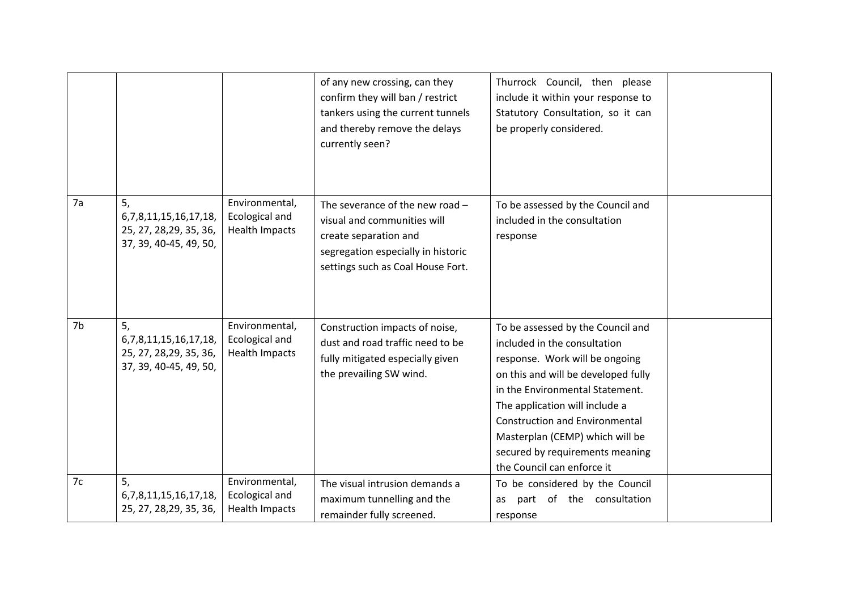|    |                                                                                         |                                                           | of any new crossing, can they<br>confirm they will ban / restrict<br>tankers using the current tunnels<br>and thereby remove the delays<br>currently seen?           | Thurrock Council, then please<br>include it within your response to<br>Statutory Consultation, so it can<br>be properly considered.                                                                                                                                                                                                                          |
|----|-----------------------------------------------------------------------------------------|-----------------------------------------------------------|----------------------------------------------------------------------------------------------------------------------------------------------------------------------|--------------------------------------------------------------------------------------------------------------------------------------------------------------------------------------------------------------------------------------------------------------------------------------------------------------------------------------------------------------|
| 7a | 5,<br>6, 7, 8, 11, 15, 16, 17, 18,<br>25, 27, 28, 29, 35, 36,<br>37, 39, 40-45, 49, 50, | Environmental,<br>Ecological and<br>Health Impacts        | The severance of the new road $-$<br>visual and communities will<br>create separation and<br>segregation especially in historic<br>settings such as Coal House Fort. | To be assessed by the Council and<br>included in the consultation<br>response                                                                                                                                                                                                                                                                                |
| 7b | 5,<br>6, 7, 8, 11, 15, 16, 17, 18,<br>25, 27, 28, 29, 35, 36,<br>37, 39, 40-45, 49, 50, | Environmental,<br>Ecological and<br><b>Health Impacts</b> | Construction impacts of noise,<br>dust and road traffic need to be<br>fully mitigated especially given<br>the prevailing SW wind.                                    | To be assessed by the Council and<br>included in the consultation<br>response. Work will be ongoing<br>on this and will be developed fully<br>in the Environmental Statement.<br>The application will include a<br><b>Construction and Environmental</b><br>Masterplan (CEMP) which will be<br>secured by requirements meaning<br>the Council can enforce it |
| 7c | 5,<br>6, 7, 8, 11, 15, 16, 17, 18,<br>25, 27, 28, 29, 35, 36,                           | Environmental,<br>Ecological and<br>Health Impacts        | The visual intrusion demands a<br>maximum tunnelling and the<br>remainder fully screened.                                                                            | To be considered by the Council<br>part of the consultation<br>as<br>response                                                                                                                                                                                                                                                                                |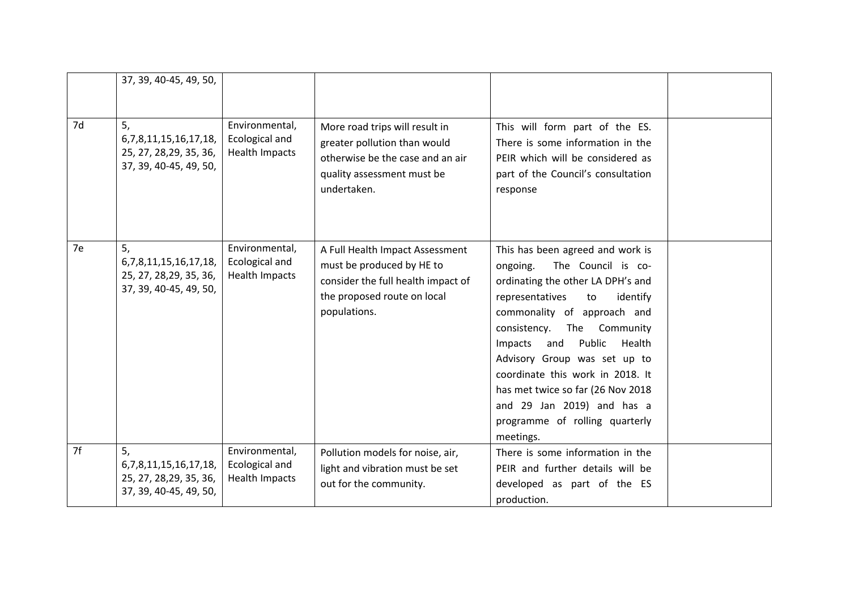|    | 37, 39, 40-45, 49, 50,                                                                  |                                                    |                                                                                                                                                   |                                                                                                                                                                                                                                                                                                                                                                                                                                          |  |
|----|-----------------------------------------------------------------------------------------|----------------------------------------------------|---------------------------------------------------------------------------------------------------------------------------------------------------|------------------------------------------------------------------------------------------------------------------------------------------------------------------------------------------------------------------------------------------------------------------------------------------------------------------------------------------------------------------------------------------------------------------------------------------|--|
|    |                                                                                         |                                                    |                                                                                                                                                   |                                                                                                                                                                                                                                                                                                                                                                                                                                          |  |
| 7d | 5,<br>6, 7, 8, 11, 15, 16, 17, 18,<br>25, 27, 28, 29, 35, 36,<br>37, 39, 40-45, 49, 50, | Environmental,<br>Ecological and<br>Health Impacts | More road trips will result in<br>greater pollution than would<br>otherwise be the case and an air<br>quality assessment must be<br>undertaken.   | This will form part of the ES.<br>There is some information in the<br>PEIR which will be considered as<br>part of the Council's consultation<br>response                                                                                                                                                                                                                                                                                 |  |
| 7e | 5,<br>6, 7, 8, 11, 15, 16, 17, 18,<br>25, 27, 28, 29, 35, 36,<br>37, 39, 40-45, 49, 50, | Environmental,<br>Ecological and<br>Health Impacts | A Full Health Impact Assessment<br>must be produced by HE to<br>consider the full health impact of<br>the proposed route on local<br>populations. | This has been agreed and work is<br>The Council is co-<br>ongoing.<br>ordinating the other LA DPH's and<br>representatives<br>to<br>identify<br>commonality of approach and<br>Community<br>consistency.<br>The<br>Public<br>Impacts and<br>Health<br>Advisory Group was set up to<br>coordinate this work in 2018. It<br>has met twice so far (26 Nov 2018<br>and 29 Jan 2019) and has a<br>programme of rolling quarterly<br>meetings. |  |
| 7f | 5,<br>6, 7, 8, 11, 15, 16, 17, 18,<br>25, 27, 28, 29, 35, 36,<br>37, 39, 40-45, 49, 50, | Environmental,<br>Ecological and<br>Health Impacts | Pollution models for noise, air,<br>light and vibration must be set<br>out for the community.                                                     | There is some information in the<br>PEIR and further details will be<br>developed as part of the ES<br>production.                                                                                                                                                                                                                                                                                                                       |  |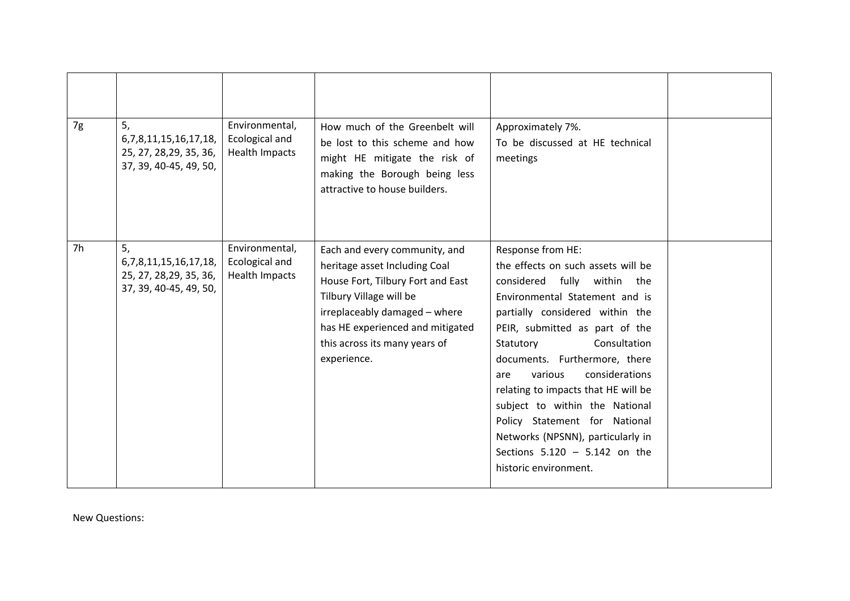| 7g | 5,<br>6, 7, 8, 11, 15, 16, 17, 18,<br>25, 27, 28, 29, 35, 36,<br>37, 39, 40-45, 49, 50, | Environmental,<br>Ecological and<br>Health Impacts | How much of the Greenbelt will<br>be lost to this scheme and how<br>might HE mitigate the risk of<br>making the Borough being less<br>attractive to house builders.                                                                                 | Approximately 7%.<br>To be discussed at HE technical<br>meetings                                                                                                                                                                                                                                                                                                                                                                                                                                           |  |
|----|-----------------------------------------------------------------------------------------|----------------------------------------------------|-----------------------------------------------------------------------------------------------------------------------------------------------------------------------------------------------------------------------------------------------------|------------------------------------------------------------------------------------------------------------------------------------------------------------------------------------------------------------------------------------------------------------------------------------------------------------------------------------------------------------------------------------------------------------------------------------------------------------------------------------------------------------|--|
| 7h | 5,<br>6, 7, 8, 11, 15, 16, 17, 18,<br>25, 27, 28, 29, 35, 36,<br>37, 39, 40-45, 49, 50, | Environmental,<br>Ecological and<br>Health Impacts | Each and every community, and<br>heritage asset Including Coal<br>House Fort, Tilbury Fort and East<br>Tilbury Village will be<br>irreplaceably damaged - where<br>has HE experienced and mitigated<br>this across its many years of<br>experience. | Response from HE:<br>the effects on such assets will be<br>considered fully within the<br>Environmental Statement and is<br>partially considered within the<br>PEIR, submitted as part of the<br>Statutory<br>Consultation<br>documents. Furthermore, there<br>considerations<br>various<br>are<br>relating to impacts that HE will be<br>subject to within the National<br>Policy Statement for National<br>Networks (NPSNN), particularly in<br>Sections $5.120 - 5.142$ on the<br>historic environment. |  |

New Questions: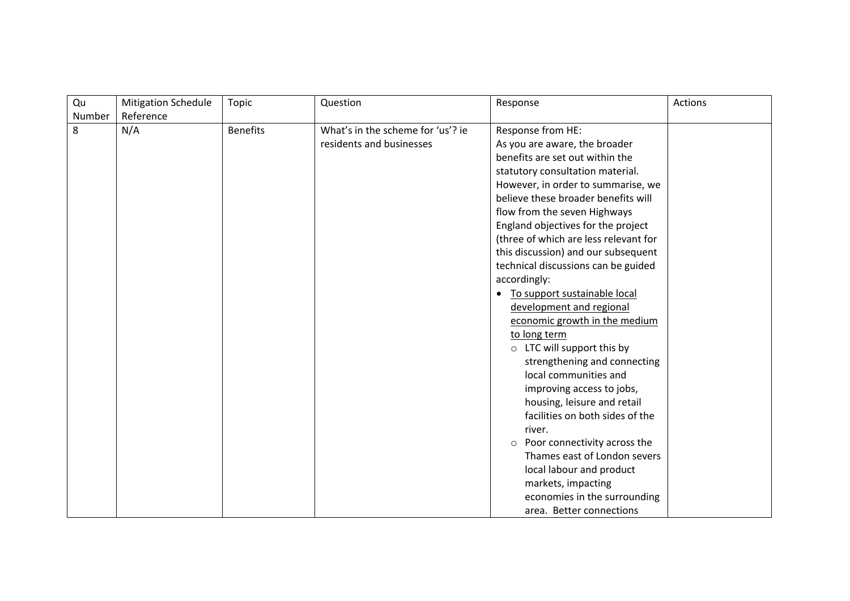| Qu     | <b>Mitigation Schedule</b> | <b>Topic</b>    | Question                          | Response                                | Actions |
|--------|----------------------------|-----------------|-----------------------------------|-----------------------------------------|---------|
| Number | Reference                  |                 |                                   |                                         |         |
| 8      | N/A                        | <b>Benefits</b> | What's in the scheme for 'us'? ie | Response from HE:                       |         |
|        |                            |                 | residents and businesses          | As you are aware, the broader           |         |
|        |                            |                 |                                   | benefits are set out within the         |         |
|        |                            |                 |                                   | statutory consultation material.        |         |
|        |                            |                 |                                   | However, in order to summarise, we      |         |
|        |                            |                 |                                   | believe these broader benefits will     |         |
|        |                            |                 |                                   | flow from the seven Highways            |         |
|        |                            |                 |                                   | England objectives for the project      |         |
|        |                            |                 |                                   | (three of which are less relevant for   |         |
|        |                            |                 |                                   | this discussion) and our subsequent     |         |
|        |                            |                 |                                   | technical discussions can be guided     |         |
|        |                            |                 |                                   | accordingly:                            |         |
|        |                            |                 |                                   | To support sustainable local            |         |
|        |                            |                 |                                   | development and regional                |         |
|        |                            |                 |                                   | economic growth in the medium           |         |
|        |                            |                 |                                   | to long term                            |         |
|        |                            |                 |                                   | $\circ$ LTC will support this by        |         |
|        |                            |                 |                                   | strengthening and connecting            |         |
|        |                            |                 |                                   | local communities and                   |         |
|        |                            |                 |                                   | improving access to jobs,               |         |
|        |                            |                 |                                   | housing, leisure and retail             |         |
|        |                            |                 |                                   | facilities on both sides of the         |         |
|        |                            |                 |                                   | river.                                  |         |
|        |                            |                 |                                   | Poor connectivity across the<br>$\circ$ |         |
|        |                            |                 |                                   | Thames east of London severs            |         |
|        |                            |                 |                                   | local labour and product                |         |
|        |                            |                 |                                   | markets, impacting                      |         |
|        |                            |                 |                                   | economies in the surrounding            |         |
|        |                            |                 |                                   | area. Better connections                |         |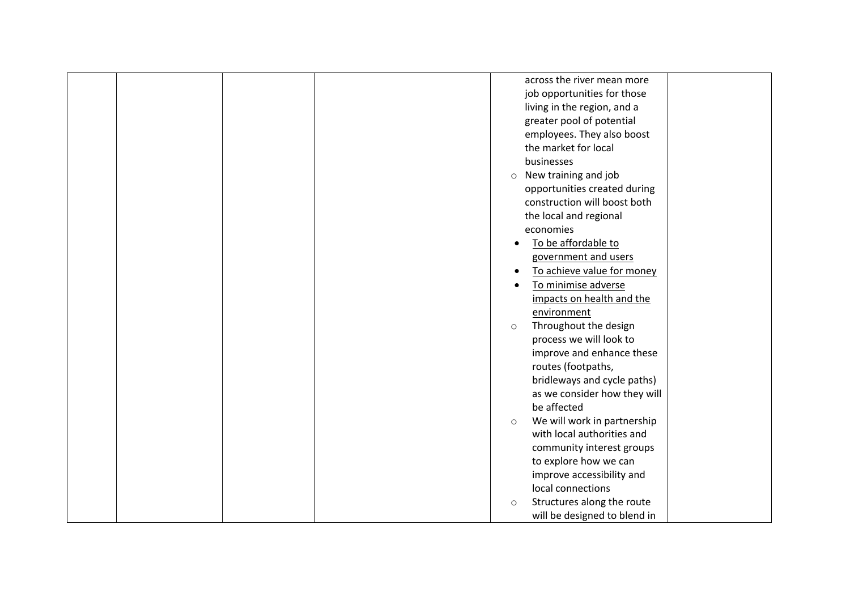| across the river mean more             |
|----------------------------------------|
| job opportunities for those            |
| living in the region, and a            |
| greater pool of potential              |
| employees. They also boost             |
| the market for local                   |
| businesses                             |
|                                        |
| $\circ$ New training and job           |
| opportunities created during           |
| construction will boost both           |
| the local and regional                 |
| economies                              |
| To be affordable to<br>$\bullet$       |
| government and users                   |
| To achieve value for money             |
| To minimise adverse                    |
| impacts on health and the              |
| environment                            |
| Throughout the design<br>$\circ$       |
| process we will look to                |
| improve and enhance these              |
| routes (footpaths,                     |
|                                        |
| bridleways and cycle paths)            |
| as we consider how they will           |
| be affected                            |
| We will work in partnership<br>$\circ$ |
| with local authorities and             |
| community interest groups              |
| to explore how we can                  |
| improve accessibility and              |
| local connections                      |
| Structures along the route<br>$\circ$  |
| will be designed to blend in           |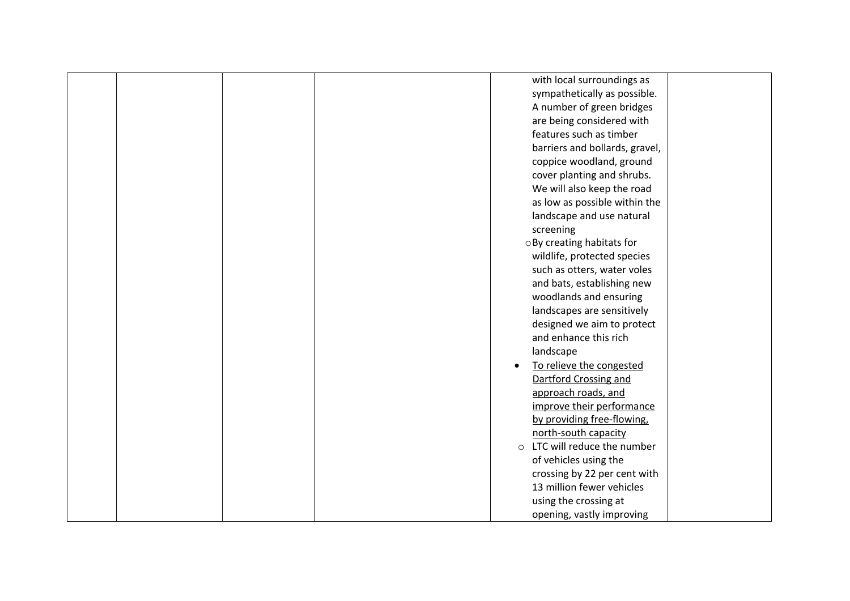|  | with local surroundings as            |  |
|--|---------------------------------------|--|
|  | sympathetically as possible.          |  |
|  | A number of green bridges             |  |
|  | are being considered with             |  |
|  | features such as timber               |  |
|  | barriers and bollards, gravel,        |  |
|  | coppice woodland, ground              |  |
|  | cover planting and shrubs.            |  |
|  | We will also keep the road            |  |
|  | as low as possible within the         |  |
|  | landscape and use natural             |  |
|  | screening                             |  |
|  | o By creating habitats for            |  |
|  | wildlife, protected species           |  |
|  | such as otters, water voles           |  |
|  | and bats, establishing new            |  |
|  | woodlands and ensuring                |  |
|  | landscapes are sensitively            |  |
|  | designed we aim to protect            |  |
|  | and enhance this rich                 |  |
|  | landscape                             |  |
|  | To relieve the congested              |  |
|  | Dartford Crossing and                 |  |
|  | approach roads, and                   |  |
|  | improve their performance             |  |
|  | by providing free-flowing,            |  |
|  | north-south capacity                  |  |
|  | LTC will reduce the number<br>$\circ$ |  |
|  | of vehicles using the                 |  |
|  | crossing by 22 per cent with          |  |
|  | 13 million fewer vehicles             |  |
|  | using the crossing at                 |  |
|  | opening, vastly improving             |  |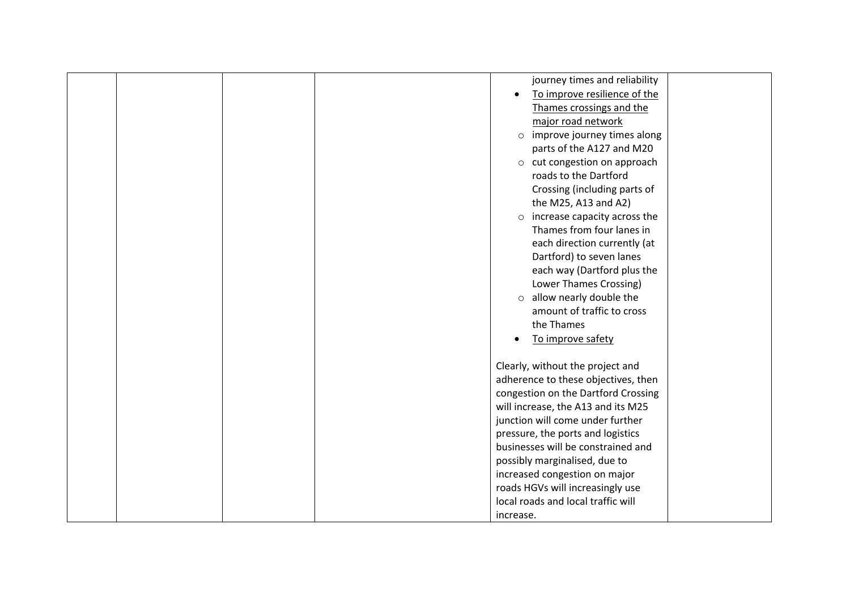|  |  | journey times and reliability           |  |
|--|--|-----------------------------------------|--|
|  |  | To improve resilience of the            |  |
|  |  | Thames crossings and the                |  |
|  |  | major road network                      |  |
|  |  | o improve journey times along           |  |
|  |  | parts of the A127 and M20               |  |
|  |  | o cut congestion on approach            |  |
|  |  | roads to the Dartford                   |  |
|  |  | Crossing (including parts of            |  |
|  |  | the M25, A13 and A2)                    |  |
|  |  | increase capacity across the<br>$\circ$ |  |
|  |  | Thames from four lanes in               |  |
|  |  | each direction currently (at            |  |
|  |  | Dartford) to seven lanes                |  |
|  |  | each way (Dartford plus the             |  |
|  |  | Lower Thames Crossing)                  |  |
|  |  | o allow nearly double the               |  |
|  |  | amount of traffic to cross              |  |
|  |  | the Thames                              |  |
|  |  | To improve safety                       |  |
|  |  | $\bullet$                               |  |
|  |  | Clearly, without the project and        |  |
|  |  | adherence to these objectives, then     |  |
|  |  | congestion on the Dartford Crossing     |  |
|  |  | will increase, the A13 and its M25      |  |
|  |  | junction will come under further        |  |
|  |  | pressure, the ports and logistics       |  |
|  |  | businesses will be constrained and      |  |
|  |  | possibly marginalised, due to           |  |
|  |  | increased congestion on major           |  |
|  |  | roads HGVs will increasingly use        |  |
|  |  | local roads and local traffic will      |  |
|  |  | increase.                               |  |
|  |  |                                         |  |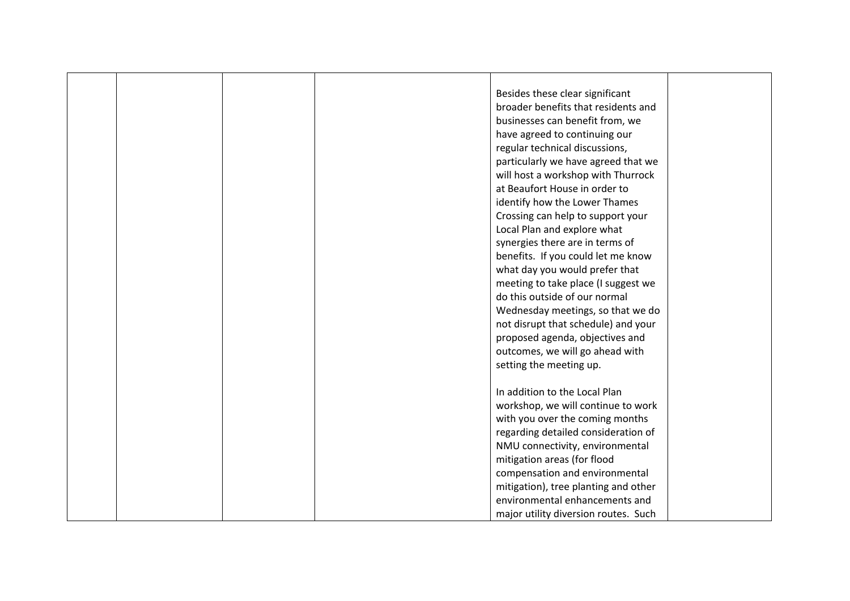|  |  | Besides these clear significant      |  |
|--|--|--------------------------------------|--|
|  |  | broader benefits that residents and  |  |
|  |  | businesses can benefit from, we      |  |
|  |  | have agreed to continuing our        |  |
|  |  | regular technical discussions,       |  |
|  |  | particularly we have agreed that we  |  |
|  |  | will host a workshop with Thurrock   |  |
|  |  | at Beaufort House in order to        |  |
|  |  | identify how the Lower Thames        |  |
|  |  | Crossing can help to support your    |  |
|  |  | Local Plan and explore what          |  |
|  |  | synergies there are in terms of      |  |
|  |  | benefits. If you could let me know   |  |
|  |  | what day you would prefer that       |  |
|  |  | meeting to take place (I suggest we  |  |
|  |  | do this outside of our normal        |  |
|  |  | Wednesday meetings, so that we do    |  |
|  |  | not disrupt that schedule) and your  |  |
|  |  | proposed agenda, objectives and      |  |
|  |  | outcomes, we will go ahead with      |  |
|  |  | setting the meeting up.              |  |
|  |  |                                      |  |
|  |  | In addition to the Local Plan        |  |
|  |  | workshop, we will continue to work   |  |
|  |  | with you over the coming months      |  |
|  |  | regarding detailed consideration of  |  |
|  |  | NMU connectivity, environmental      |  |
|  |  | mitigation areas (for flood          |  |
|  |  | compensation and environmental       |  |
|  |  | mitigation), tree planting and other |  |
|  |  | environmental enhancements and       |  |
|  |  | major utility diversion routes. Such |  |
|  |  |                                      |  |